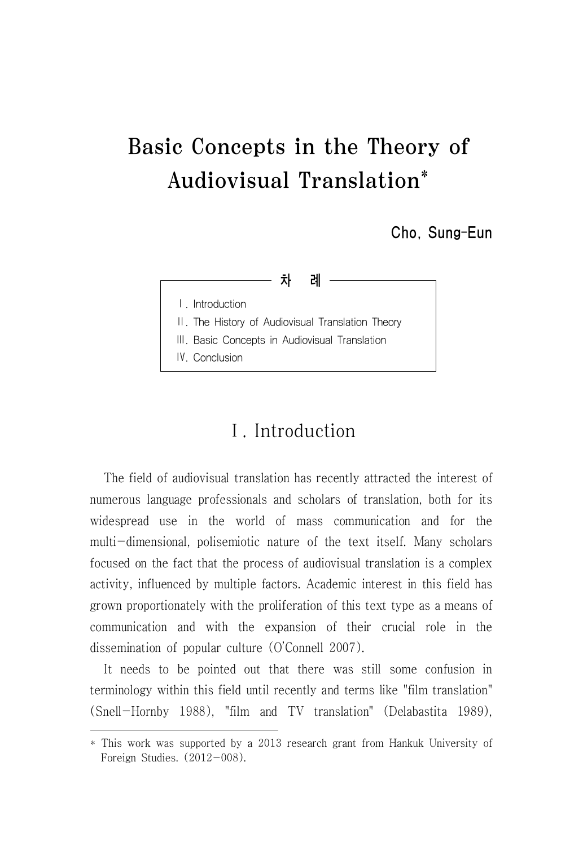# Basic Concepts in the Theory of Audiovisual Translation\*

Cho, Sung-Eun



# Ⅰ. Introduction

The field of audiovisual translation has recently attracted the interest of numerous language professionals and scholars of translation, both for its widespread use in the world of mass communication and for the multi-dimensional, polisemiotic nature of the text itself. Many scholars focused on the fact that the process of audiovisual translation is a complex activity, influenced by multiple factors. Academic interest in this field has grown proportionately with the proliferation of this text type as a means of communication and with the expansion of their crucial role in the dissemination of popular culture (O'Connell 2007).

It needs to be pointed out that there was still some confusion in terminology within this field until recently and terms like "film translation" (Snell-Hornby 1988), "film and TV translation" (Delabastita 1989),

<sup>\*</sup> This work was supported by a 2013 research grant from Hankuk University of Foreign Studies. (2012-008).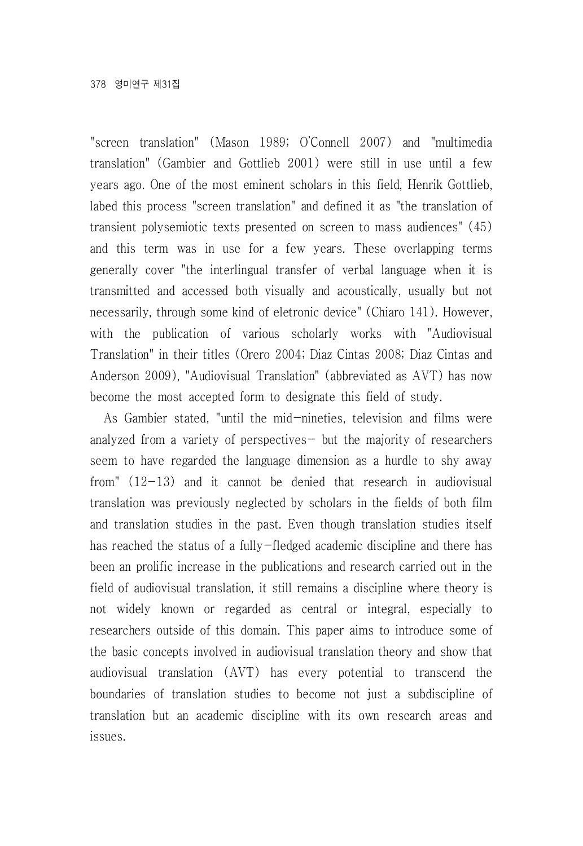"screen translation" (Mason 1989; O'Connell 2007) and "multimedia translation" (Gambier and Gottlieb 2001) were still in use until a few years ago. One of the most eminent scholars in this field, Henrik Gottlieb, labed this process "screen translation" and defined it as "the translation of transient polysemiotic texts presented on screen to mass audiences" (45) and this term was in use for a few years. These overlapping terms generally cover "the interlingual transfer of verbal language when it is transmitted and accessed both visually and acoustically, usually but not necessarily, through some kind of eletronic device" (Chiaro 141). However, with the publication of various scholarly works with "Audiovisual Translation" in their titles (Orero 2004; Diaz Cintas 2008; Diaz Cintas and Anderson 2009), "Audiovisual Translation" (abbreviated as AVT) has now become the most accepted form to designate this field of study.

As Gambier stated, "until the mid-nineties, television and films were analyzed from a variety of perspectives- but the majority of researchers seem to have regarded the language dimension as a hurdle to shy away from"  $(12-13)$  and it cannot be denied that research in audiovisual translation was previously neglected by scholars in the fields of both film and translation studies in the past. Even though translation studies itself has reached the status of a fully-fledged academic discipline and there has been an prolific increase in the publications and research carried out in the field of audiovisual translation, it still remains a discipline where theory is not widely known or regarded as central or integral, especially to researchers outside of this domain. This paper aims to introduce some of the basic concepts involved in audiovisual translation theory and show that audiovisual translation (AVT) has every potential to transcend the boundaries of translation studies to become not just a subdiscipline of translation but an academic discipline with its own research areas and issues.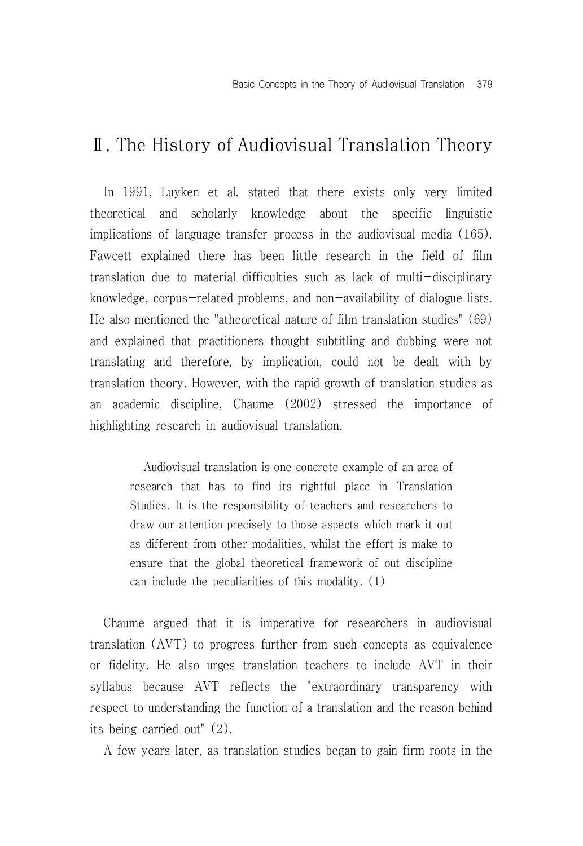### Ⅱ. The History of Audiovisual Translation Theory

In 1991, Luyken et al. stated that there exists only very limited theoretical and scholarly knowledge about the specific linguistic implications of language transfer process in the audiovisual media (165). Fawcett explained there has been little research in the field of film translation due to material difficulties such as lack of multi-disciplinary knowledge, corpus-related problems, and non-availability of dialogue lists. He also mentioned the "atheoretical nature of film translation studies" (69) and explained that practitioners thought subtitling and dubbing were not translating and therefore, by implication, could not be dealt with by translation theory. However, with the rapid growth of translation studies as an academic discipline, Chaume (2002) stressed the importance of highlighting research in audiovisual translation.

Audiovisual translation is one concrete example of an area of research that has to find its rightful place in Translation Studies. It is the responsibility of teachers and researchers to draw our attention precisely to those aspects which mark it out as different from other modalities, whilst the effort is make to ensure that the global theoretical framework of out discipline can include the peculiarities of this modality. (1)

Chaume argued that it is imperative for researchers in audiovisual translation (AVT) to progress further from such concepts as equivalence or fidelity. He also urges translation teachers to include AVT in their syllabus because AVT reflects the "extraordinary transparency with respect to understanding the function of a translation and the reason behind its being carried out" (2).

A few years later, as translation studies began to gain firm roots in the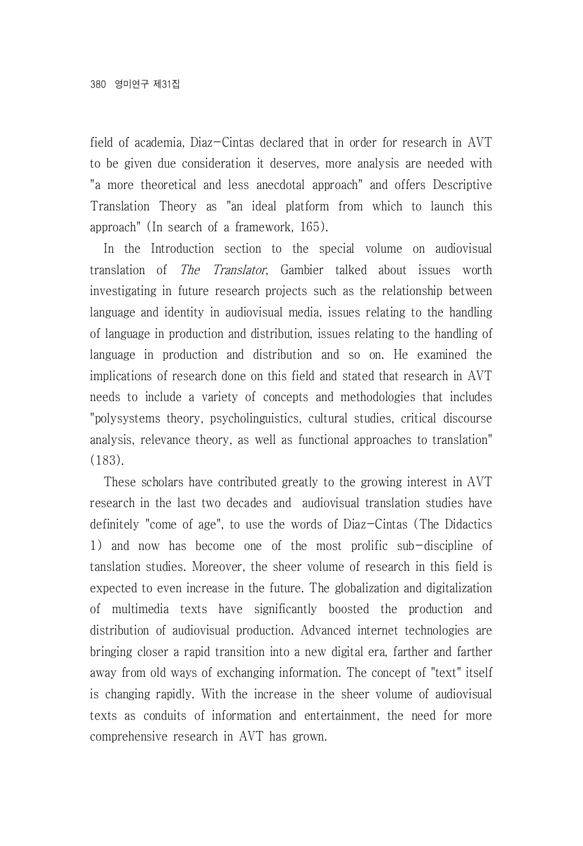field of academia, Diaz-Cintas declared that in order for research in AVT to be given due consideration it deserves, more analysis are needed with "a more theoretical and less anecdotal approach" and offers Descriptive Translation Theory as "an ideal platform from which to launch this approach" (In search of a framework, 165).

In the Introduction section to the special volume on audiovisual translation of The Translator, Gambier talked about issues worth investigating in future research projects such as the relationship between language and identity in audiovisual media, issues relating to the handling of language in production and distribution, issues relating to the handling of language in production and distribution and so on. He examined the implications of research done on this field and stated that research in AVT needs to include a variety of concepts and methodologies that includes "polysystems theory, psycholinguistics, cultural studies, critical discourse analysis, relevance theory, as well as functional approaches to translation" (183).

These scholars have contributed greatly to the growing interest in AVT research in the last two decades and audiovisual translation studies have definitely "come of age", to use the words of Diaz-Cintas (The Didactics 1) and now has become one of the most prolific sub-discipline of tanslation studies. Moreover, the sheer volume of research in this field is expected to even increase in the future. The globalization and digitalization of multimedia texts have significantly boosted the production and distribution of audiovisual production. Advanced internet technologies are bringing closer a rapid transition into a new digital era, farther and farther away from old ways of exchanging information. The concept of "text" itself is changing rapidly. With the increase in the sheer volume of audiovisual texts as conduits of information and entertainment, the need for more comprehensive research in AVT has grown.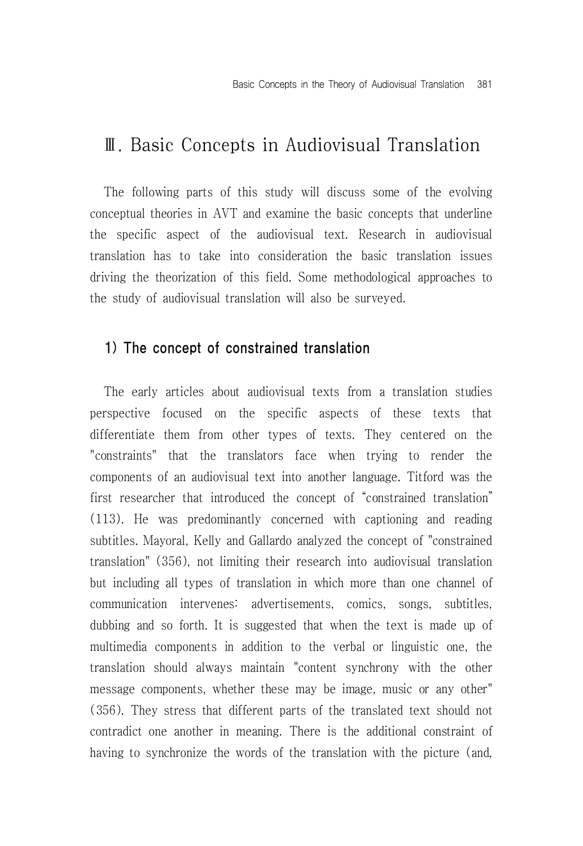# Ⅲ. Basic Concepts in Audiovisual Translation

The following parts of this study will discuss some of the evolving conceptual theories in AVT and examine the basic concepts that underline the specific aspect of the audiovisual text. Research in audiovisual translation has to take into consideration the basic translation issues driving the theorization of this field. Some methodological approaches to the study of audiovisual translation will also be surveyed.

#### 1) The concept of constrained translation

The early articles about audiovisual texts from a translation studies perspective focused on the specific aspects of these texts that differentiate them from other types of texts. They centered on the "constraints" that the translators face when trying to render the components of an audiovisual text into another language. Titford was the first researcher that introduced the concept of "constrained translation" (113). He was predominantly concerned with captioning and reading subtitles. Mayoral, Kelly and Gallardo analyzed the concept of "constrained translation" (356), not limiting their research into audiovisual translation but including all types of translation in which more than one channel of communication intervenes: advertisements, comics, songs, subtitles, dubbing and so forth. It is suggested that when the text is made up of multimedia components in addition to the verbal or linguistic one, the translation should always maintain "content synchrony with the other message components, whether these may be image, music or any other" (356). They stress that different parts of the translated text should not contradict one another in meaning. There is the additional constraint of having to synchronize the words of the translation with the picture (and,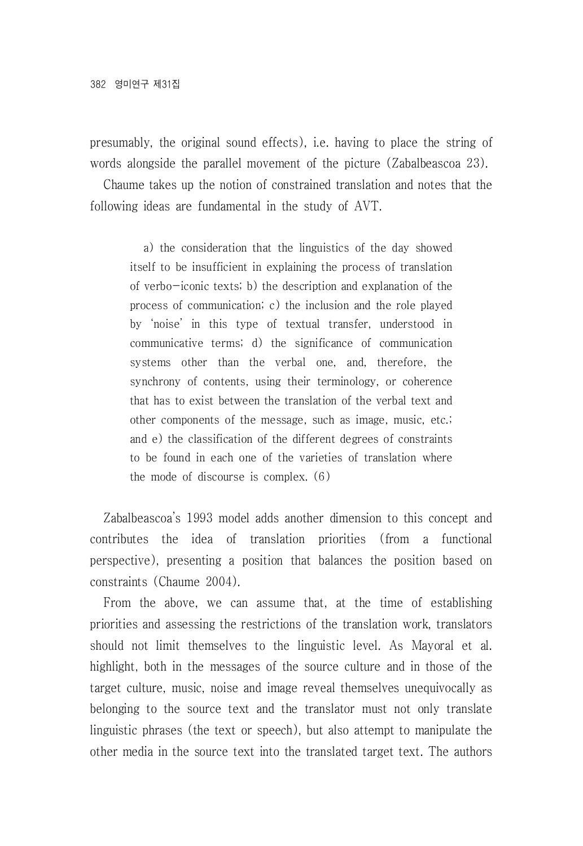presumably, the original sound effects), i.e. having to place the string of words alongside the parallel movement of the picture (Zabalbeascoa 23).

Chaume takes up the notion of constrained translation and notes that the following ideas are fundamental in the study of AVT.

a) the consideration that the linguistics of the day showed itself to be insufficient in explaining the process of translation of verbo-iconic texts; b) the description and explanation of the process of communication; c) the inclusion and the role played by 'noise' in this type of textual transfer, understood in communicative terms; d) the significance of communication systems other than the verbal one, and, therefore, the synchrony of contents, using their terminology, or coherence that has to exist between the translation of the verbal text and other components of the message, such as image, music, etc.; and e) the classification of the different degrees of constraints to be found in each one of the varieties of translation where the mode of discourse is complex. (6)

Zabalbeascoa's 1993 model adds another dimension to this concept and contributes the idea of translation priorities (from a functional perspective), presenting a position that balances the position based on constraints (Chaume 2004).

From the above, we can assume that, at the time of establishing priorities and assessing the restrictions of the translation work, translators should not limit themselves to the linguistic level. As Mayoral et al. highlight, both in the messages of the source culture and in those of the target culture, music, noise and image reveal themselves unequivocally as belonging to the source text and the translator must not only translate linguistic phrases (the text or speech), but also attempt to manipulate the other media in the source text into the translated target text. The authors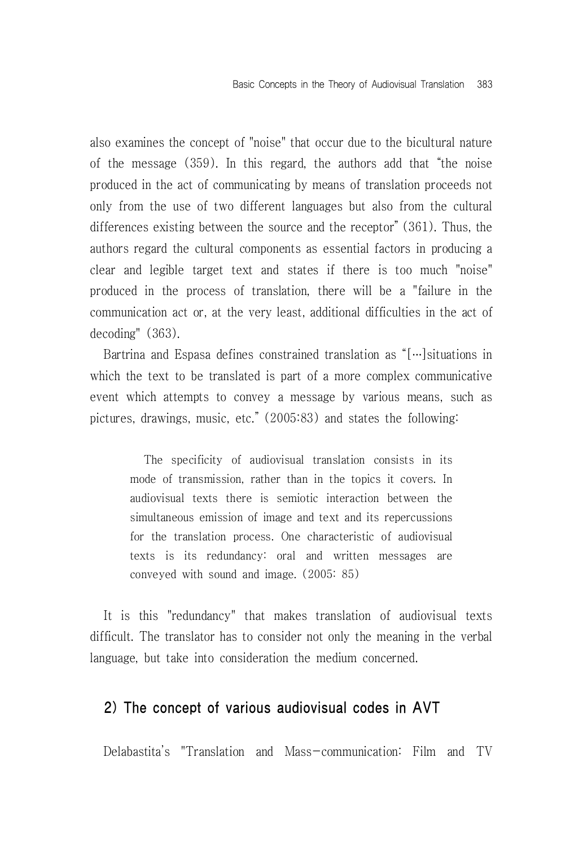also examines the concept of "noise" that occur due to the bicultural nature of the message (359). In this regard, the authors add that "the noise produced in the act of communicating by means of translation proceeds not only from the use of two different languages but also from the cultural differences existing between the source and the receptor" (361). Thus, the authors regard the cultural components as essential factors in producing a clear and legible target text and states if there is too much "noise" produced in the process of translation, there will be a "failure in the communication act or, at the very least, additional difficulties in the act of decoding" (363).

Bartrina and Espasa defines constrained translation as "[…]situations in which the text to be translated is part of a more complex communicative event which attempts to convey a message by various means, such as pictures, drawings, music, etc." (2005:83) and states the following:

> The specificity of audiovisual translation consists in its mode of transmission, rather than in the topics it covers. In audiovisual texts there is semiotic interaction between the simultaneous emission of image and text and its repercussions for the translation process. One characteristic of audiovisual texts is its redundancy: oral and written messages are conveyed with sound and image. (2005: 85)

It is this "redundancy" that makes translation of audiovisual texts difficult. The translator has to consider not only the meaning in the verbal language, but take into consideration the medium concerned.

#### 2) The concept of various audiovisual codes in AVT

Delabastita's "Translation and Mass-communication: Film and TV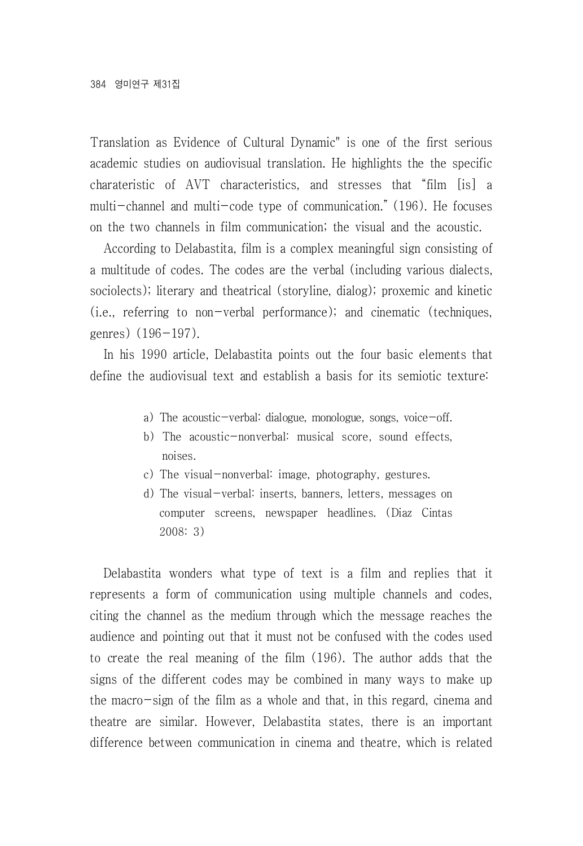Translation as Evidence of Cultural Dynamic" is one of the first serious academic studies on audiovisual translation. He highlights the the specific charateristic of AVT characteristics, and stresses that "film [is] a multi-channel and multi-code type of communication." (196). He focuses on the two channels in film communication; the visual and the acoustic.

According to Delabastita, film is a complex meaningful sign consisting of a multitude of codes. The codes are the verbal (including various dialects, sociolects); literary and theatrical (storyline, dialog); proxemic and kinetic (i.e., referring to non-verbal performance); and cinematic (techniques, genres)  $(196-197)$ .

In his 1990 article, Delabastita points out the four basic elements that define the audiovisual text and establish a basis for its semiotic texture:

- a) The acoustic-verbal: dialogue, monologue, songs, voice-off.
- b) The acoustic-nonverbal: musical score, sound effects, noises.
- c) The visual-nonverbal: image, photography, gestures.
- d) The visual-verbal: inserts, banners, letters, messages on computer screens, newspaper headlines. (Diaz Cintas 2008: 3)

Delabastita wonders what type of text is a film and replies that it represents a form of communication using multiple channels and codes, citing the channel as the medium through which the message reaches the audience and pointing out that it must not be confused with the codes used to create the real meaning of the film (196). The author adds that the signs of the different codes may be combined in many ways to make up the macro-sign of the film as a whole and that, in this regard, cinema and theatre are similar. However, Delabastita states, there is an important difference between communication in cinema and theatre, which is related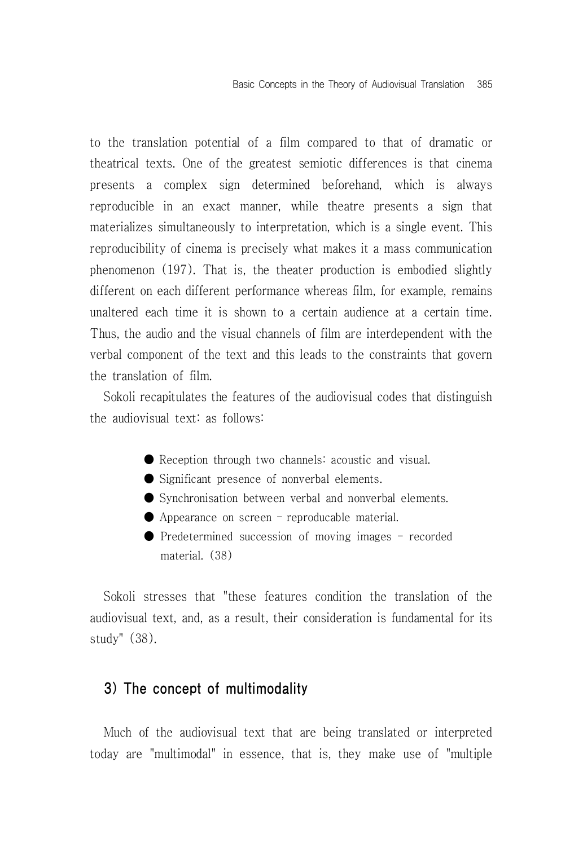to the translation potential of a film compared to that of dramatic or theatrical texts. One of the greatest semiotic differences is that cinema presents a complex sign determined beforehand, which is always reproducible in an exact manner, while theatre presents a sign that materializes simultaneously to interpretation, which is a single event. This reproducibility of cinema is precisely what makes it a mass communication phenomenon (197). That is, the theater production is embodied slightly different on each different performance whereas film, for example, remains unaltered each time it is shown to a certain audience at a certain time. Thus, the audio and the visual channels of film are interdependent with the verbal component of the text and this leads to the constraints that govern the translation of film.

Sokoli recapitulates the features of the audiovisual codes that distinguish the audiovisual text: as follows:

- Reception through two channels: acoustic and visual.
- Significant presence of nonverbal elements.
- Synchronisation between verbal and nonverbal elements.
- Appearance on screen reproducable material.
- Predetermined succession of moving images recorded material. (38)

Sokoli stresses that "these features condition the translation of the audiovisual text, and, as a result, their consideration is fundamental for its study" (38).

#### 3) The concept of multimodality

Much of the audiovisual text that are being translated or interpreted today are "multimodal" in essence, that is, they make use of "multiple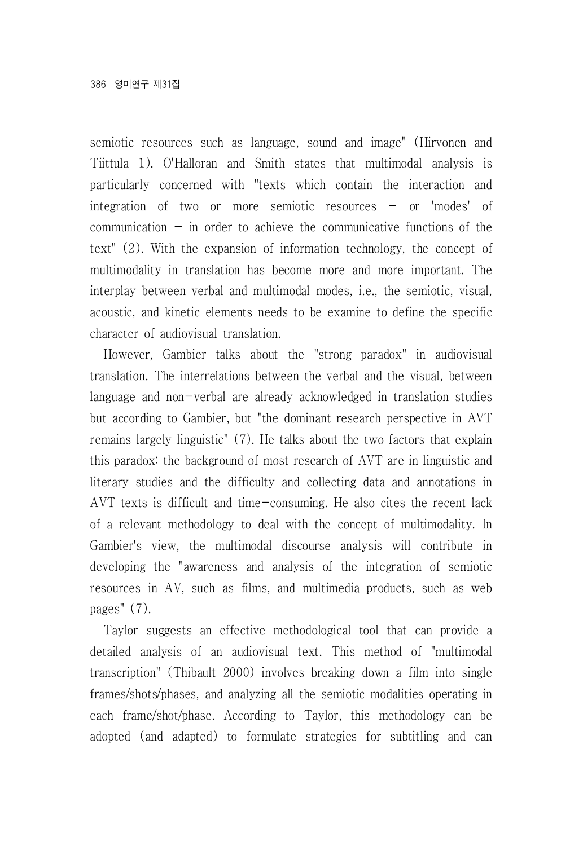semiotic resources such as language, sound and image" (Hirvonen and Tiittula 1). O'Halloran and Smith states that multimodal analysis is particularly concerned with "texts which contain the interaction and integration of two or more semiotic resources – or 'modes' of communication  $-$  in order to achieve the communicative functions of the text" (2). With the expansion of information technology, the concept of multimodality in translation has become more and more important. The interplay between verbal and multimodal modes, i.e., the semiotic, visual, acoustic, and kinetic elements needs to be examine to define the specific character of audiovisual translation.

However, Gambier talks about the "strong paradox" in audiovisual translation. The interrelations between the verbal and the visual, between language and non-verbal are already acknowledged in translation studies but according to Gambier, but "the dominant research perspective in AVT remains largely linguistic" (7). He talks about the two factors that explain this paradox: the background of most research of AVT are in linguistic and literary studies and the difficulty and collecting data and annotations in AVT texts is difficult and time-consuming. He also cites the recent lack of a relevant methodology to deal with the concept of multimodality. In Gambier's view, the multimodal discourse analysis will contribute in developing the "awareness and analysis of the integration of semiotic resources in AV, such as films, and multimedia products, such as web pages" (7).

Taylor suggests an effective methodological tool that can provide a detailed analysis of an audiovisual text. This method of "multimodal transcription" (Thibault 2000) involves breaking down a film into single frames/shots/phases, and analyzing all the semiotic modalities operating in each frame/shot/phase. According to Taylor, this methodology can be adopted (and adapted) to formulate strategies for subtitling and can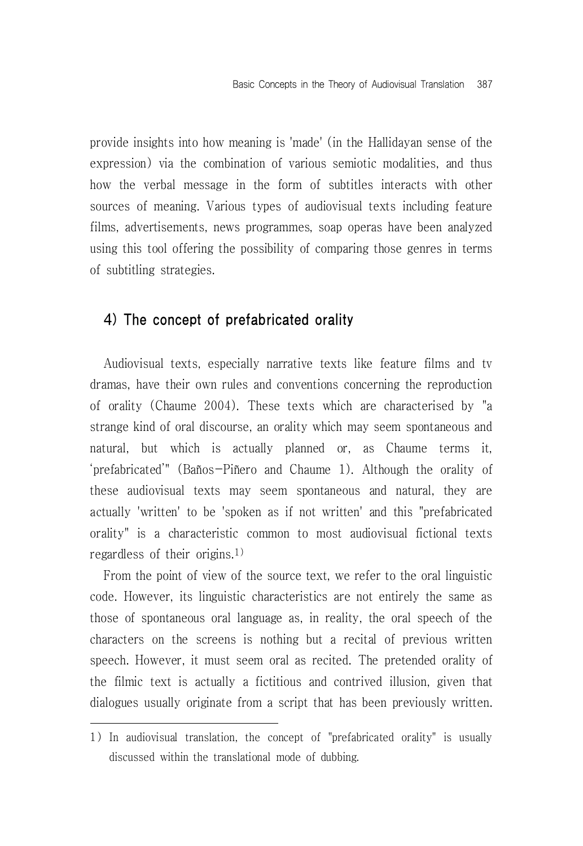provide insights into how meaning is 'made' (in the Hallidayan sense of the expression) via the combination of various semiotic modalities, and thus how the verbal message in the form of subtitles interacts with other sources of meaning. Various types of audiovisual texts including feature films, advertisements, news programmes, soap operas have been analyzed using this tool offering the possibility of comparing those genres in terms of subtitling strategies.

#### 4) The concept of prefabricated orality

Audiovisual texts, especially narrative texts like feature films and tv dramas, have their own rules and conventions concerning the reproduction of orality (Chaume 2004). These texts which are characterised by "a strange kind of oral discourse, an orality which may seem spontaneous and natural, but which is actually planned or, as Chaume terms it, 'prefabricated'" (Baños-Piñero and Chaume 1). Although the orality of these audiovisual texts may seem spontaneous and natural, they are actually 'written' to be 'spoken as if not written' and this "prefabricated orality" is a characteristic common to most audiovisual fictional texts regardless of their origins.1)

From the point of view of the source text, we refer to the oral linguistic code. However, its linguistic characteristics are not entirely the same as those of spontaneous oral language as, in reality, the oral speech of the characters on the screens is nothing but a recital of previous written speech. However, it must seem oral as recited. The pretended orality of the filmic text is actually a fictitious and contrived illusion, given that dialogues usually originate from a script that has been previously written.

<sup>1)</sup> In audiovisual translation, the concept of "prefabricated orality" is usually discussed within the translational mode of dubbing.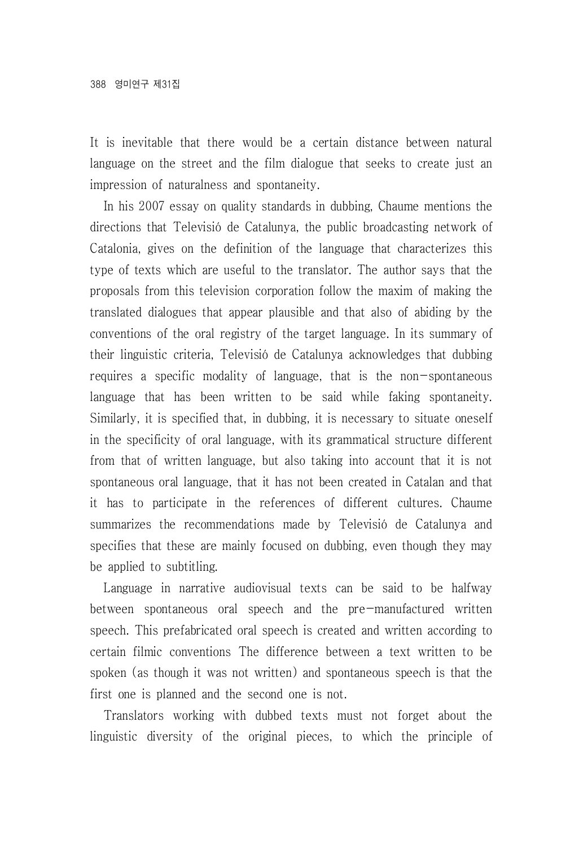It is inevitable that there would be a certain distance between natural language on the street and the film dialogue that seeks to create just an impression of naturalness and spontaneity.

In his 2007 essay on quality standards in dubbing, Chaume mentions the directions that Televisió de Catalunya, the public broadcasting network of Catalonia, gives on the definition of the language that characterizes this type of texts which are useful to the translator. The author says that the proposals from this television corporation follow the maxim of making the translated dialogues that appear plausible and that also of abiding by the conventions of the oral registry of the target language. In its summary of their linguistic criteria, Televisió de Catalunya acknowledges that dubbing requires a specific modality of language, that is the non-spontaneous language that has been written to be said while faking spontaneity. Similarly, it is specified that, in dubbing, it is necessary to situate oneself in the specificity of oral language, with its grammatical structure different from that of written language, but also taking into account that it is not spontaneous oral language, that it has not been created in Catalan and that it has to participate in the references of different cultures. Chaume summarizes the recommendations made by Televisió de Catalunya and specifies that these are mainly focused on dubbing, even though they may be applied to subtitling.

Language in narrative audiovisual texts can be said to be halfway between spontaneous oral speech and the pre-manufactured written speech. This prefabricated oral speech is created and written according to certain filmic conventions The difference between a text written to be spoken (as though it was not written) and spontaneous speech is that the first one is planned and the second one is not.

Translators working with dubbed texts must not forget about the linguistic diversity of the original pieces, to which the principle of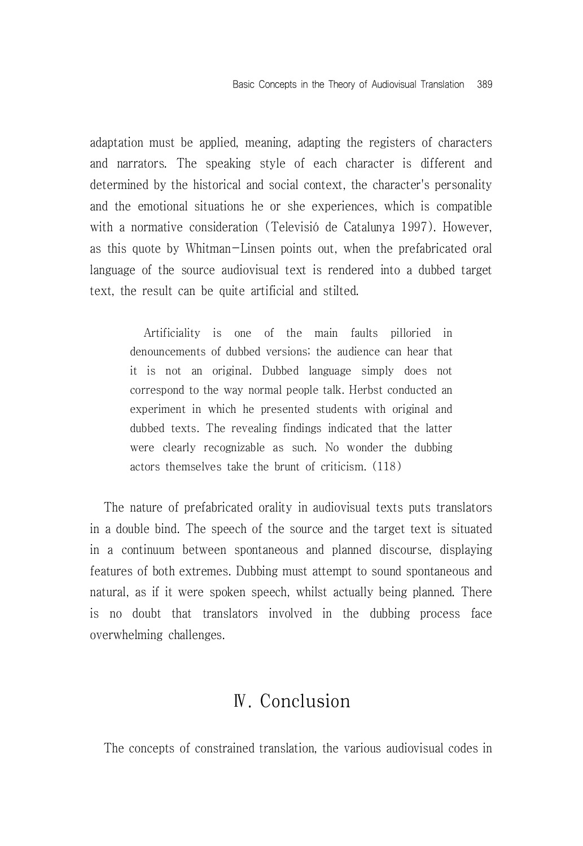adaptation must be applied, meaning, adapting the registers of characters and narrators. The speaking style of each character is different and determined by the historical and social context, the character's personality and the emotional situations he or she experiences, which is compatible with a normative consideration (Televisió de Catalunya 1997). However, as this quote by Whitman-Linsen points out, when the prefabricated oral language of the source audiovisual text is rendered into a dubbed target text, the result can be quite artificial and stilted.

Artificiality is one of the main faults pilloried in denouncements of dubbed versions; the audience can hear that it is not an original. Dubbed language simply does not correspond to the way normal people talk. Herbst conducted an experiment in which he presented students with original and dubbed texts. The revealing findings indicated that the latter were clearly recognizable as such. No wonder the dubbing actors themselves take the brunt of criticism. (118)

The nature of prefabricated orality in audiovisual texts puts translators in a double bind. The speech of the source and the target text is situated in a continuum between spontaneous and planned discourse, displaying features of both extremes. Dubbing must attempt to sound spontaneous and natural, as if it were spoken speech, whilst actually being planned. There is no doubt that translators involved in the dubbing process face overwhelming challenges.

# Ⅳ. Conclusion

The concepts of constrained translation, the various audiovisual codes in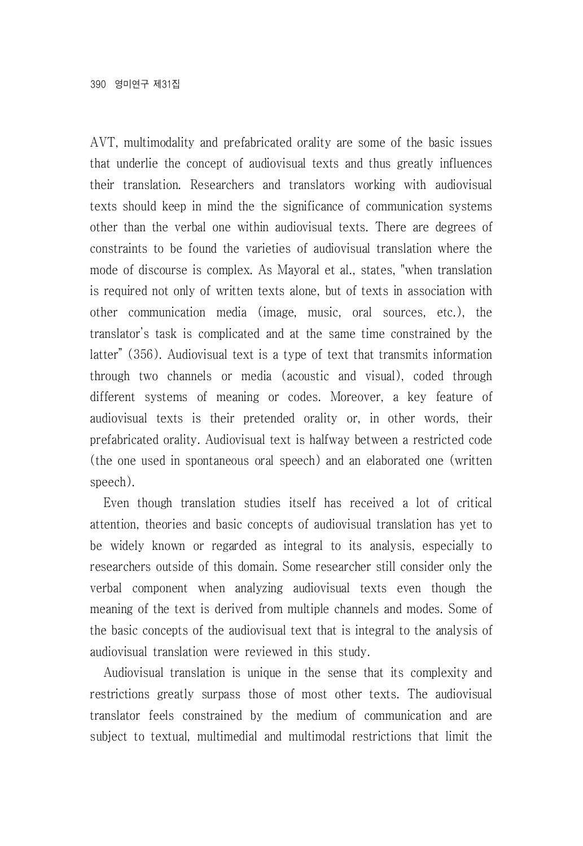AVT, multimodality and prefabricated orality are some of the basic issues that underlie the concept of audiovisual texts and thus greatly influences their translation. Researchers and translators working with audiovisual texts should keep in mind the the significance of communication systems other than the verbal one within audiovisual texts. There are degrees of constraints to be found the varieties of audiovisual translation where the mode of discourse is complex. As Mayoral et al., states, "when translation is required not only of written texts alone, but of texts in association with other communication media (image, music, oral sources, etc.), the translator's task is complicated and at the same time constrained by the latter" (356). Audiovisual text is a type of text that transmits information through two channels or media (acoustic and visual), coded through different systems of meaning or codes. Moreover, a key feature of audiovisual texts is their pretended orality or, in other words, their prefabricated orality. Audiovisual text is halfway between a restricted code (the one used in spontaneous oral speech) and an elaborated one (written speech).

Even though translation studies itself has received a lot of critical attention, theories and basic concepts of audiovisual translation has yet to be widely known or regarded as integral to its analysis, especially to researchers outside of this domain. Some researcher still consider only the verbal component when analyzing audiovisual texts even though the meaning of the text is derived from multiple channels and modes. Some of the basic concepts of the audiovisual text that is integral to the analysis of audiovisual translation were reviewed in this study.

Audiovisual translation is unique in the sense that its complexity and restrictions greatly surpass those of most other texts. The audiovisual translator feels constrained by the medium of communication and are subject to textual, multimedial and multimodal restrictions that limit the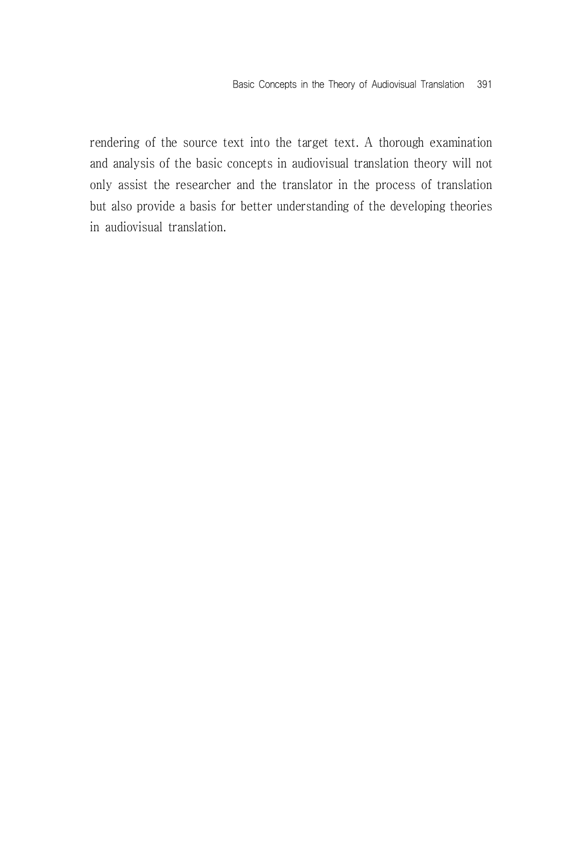rendering of the source text into the target text. A thorough examination and analysis of the basic concepts in audiovisual translation theory will not only assist the researcher and the translator in the process of translation but also provide a basis for better understanding of the developing theories in audiovisual translation.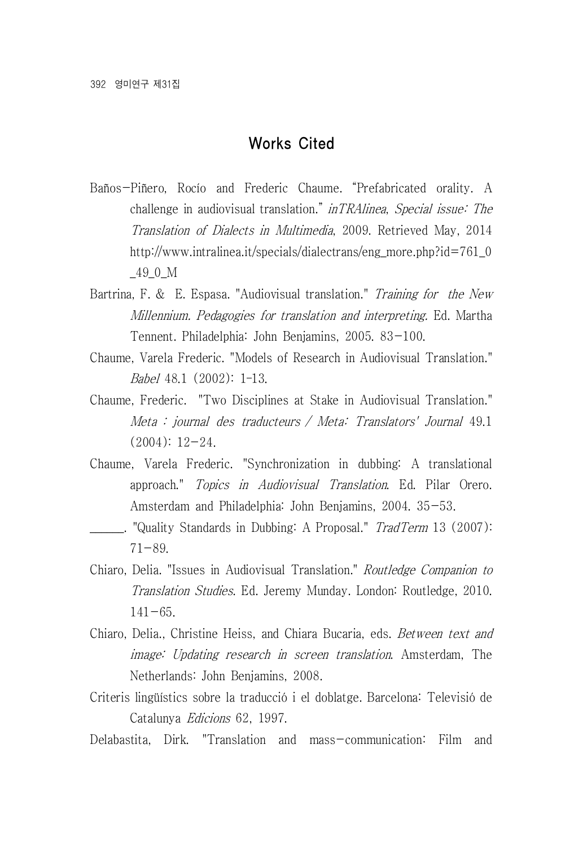#### Works Cited

- Baños-Piñero, Rocío and Frederic Chaume. "Prefabricated orality. A challenge in audiovisual translation." inTRAlinea, Special issue: The Translation of Dialects in Multimedia, 2009. Retrieved May, 2014 http://www.intralinea.it/specials/dialectrans/eng\_more.php?id=761\_0 \_49\_0\_M
- Bartrina, F. & E. Espasa. "Audiovisual translation." Training for the New Millennium. Pedagogies for translation and interpreting. Ed. Martha Tennent. Philadelphia: John Benjamins, 2005. 83-100.
- Chaume, Varela Frederic. "Models of Research in Audiovisual Translation." Babel 48.1 (2002): 1–13.
- Chaume, Frederic. "Two Disciplines at Stake in Audiovisual Translation." Meta : journal des traducteurs / Meta: Translators' Journal 49.1  $(2004): 12 - 24.$
- Chaume, Varela Frederic. "Synchronization in dubbing: A translational approach." Topics in Audiovisual Translation. Ed. Pilar Orero. Amsterdam and Philadelphia: John Benjamins, 2004. 35-53.
- . "Quality Standards in Dubbing: A Proposal." TradTerm 13 (2007): 71-89.
- Chiaro, Delia. "Issues in Audiovisual Translation." Routledge Companion to Translation Studies. Ed. Jeremy Munday. London: Routledge, 2010.  $141 - 65$ .
- Chiaro, Delia., Christine Heiss, and Chiara Bucaria, eds. Between text and image: Updating research in screen translation. Amsterdam, The Netherlands: John Benjamins, 2008.
- Criteris lingüístics sobre la traducció i el doblatge. Barcelona: Televisió de Catalunya Edicions 62, 1997.
- Delabastita, Dirk. "Translation and mass-communication: Film and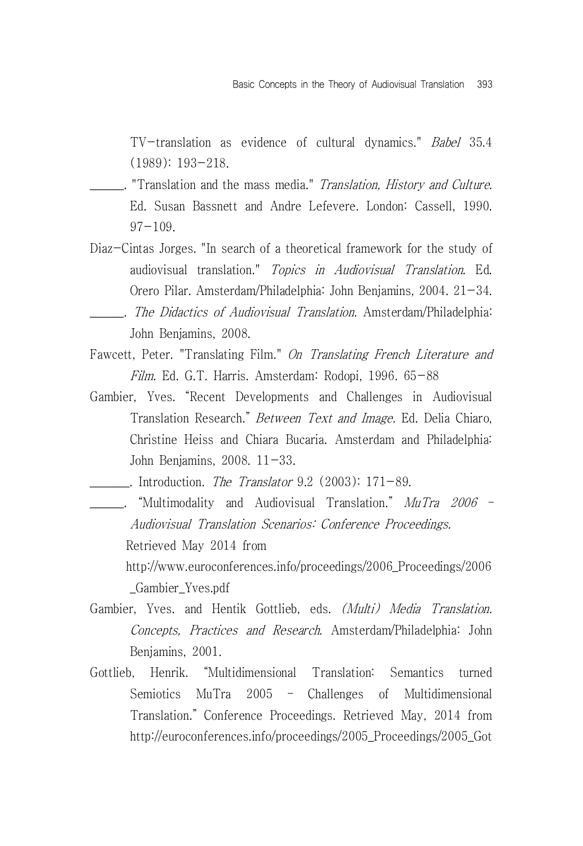TV-translation as evidence of cultural dynamics." Babel 35.4 (1989): 193-218.

- . "Translation and the mass media." *Translation, History and Culture.* Ed. Susan Bassnett and Andre Lefevere. London: Cassell, 1990. 97-109.
- Diaz-Cintas Jorges. "In search of a theoretical framework for the study of audiovisual translation." Topics in Audiovisual Translation. Ed. Orero Pilar. Amsterdam/Philadelphia: John Benjamins, 2004. 21-34.
- . The Didactics of Audiovisual Translation. Amsterdam/Philadelphia: John Benjamins, 2008.
- Fawcett, Peter. "Translating Film." On Translating French Literature and Film. Ed. G.T. Harris. Amsterdam: Rodopi, 1996. 65-88
- Gambier, Yves. "Recent Developments and Challenges in Audiovisual Translation Research." Between Text and Image. Ed. Delia Chiaro, Christine Heiss and Chiara Bucaria. Amsterdam and Philadelphia: John Benjamins, 2008. 11-33.
	- . Introduction. The Translator  $9.2$  (2003):  $171-89$ .
- \_\_\_\_\_\_. "Multimodality and Audiovisual Translation." MuTra 2006 Audiovisual Translation Scenarios: Conference Proceedings. Retrieved May 2014 from http://www.euroconferences.info/proceedings/2006\_Proceedings/2006 \_Gambier\_Yves.pdf
- Gambier, Yves. and Hentik Gottlieb, eds. (Multi) Media Translation. Concepts, Practices and Research. Amsterdam/Philadelphia: John Benjamins, 2001.
- Gottlieb, Henrik. "Multidimensional Translation: Semantics turned Semiotics MuTra 2005 – Challenges of Multidimensional Translation." Conference Proceedings. Retrieved May, 2014 from http://euroconferences.info/proceedings/2005\_Proceedings/2005\_Got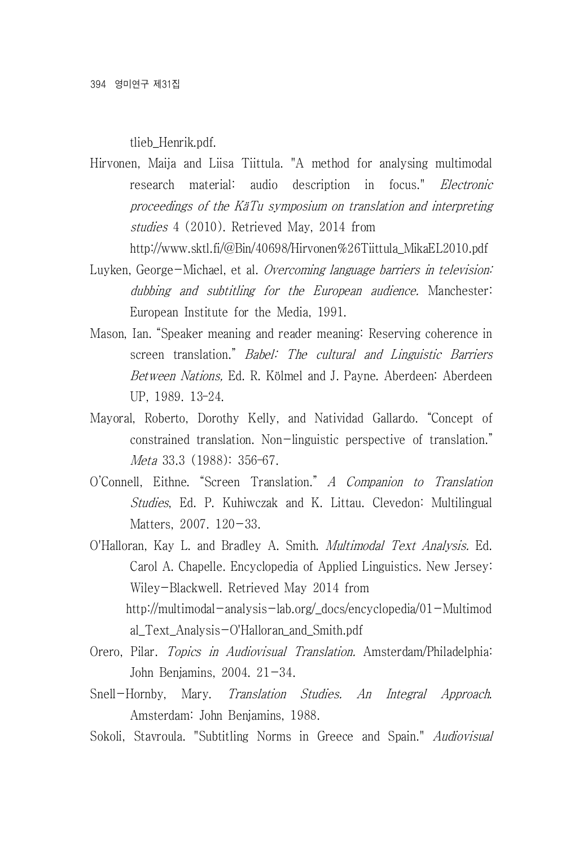tlieb\_Henrik.pdf.

Hirvonen, Maija and Liisa Tiittula. "A method for analysing multimodal research material: audio description in focus." *Electronic* proceedings of the KäTu symposium on translation and interpreting studies 4 (2010). Retrieved May, 2014 from

http://www.sktl.fi/@Bin/40698/Hirvonen%26Tiittula\_MikaEL2010.pdf

- Luyken, George-Michael, et al. Overcoming language barriers in television: dubbing and subtitling for the European audience. Manchester: European Institute for the Media, 1991.
- Mason, Ian. "Speaker meaning and reader meaning: Reserving coherence in screen translation." Babel: The cultural and Linguistic Barriers Between Nations, Ed. R. Kölmel and J. Payne. Aberdeen: Aberdeen UP, 1989. 13–24.
- Mayoral, Roberto, Dorothy Kelly, and Natividad Gallardo. "Concept of constrained translation. Non-linguistic perspective of translation." Meta 33.3 (1988): 356–67.
- O'Connell, Eithne. "Screen Translation." A Companion to Translation Studies, Ed. P. Kuhiwczak and K. Littau. Clevedon: Multilingual Matters, 2007, 120-33.
- O'Halloran, Kay L. and Bradley A. Smith. Multimodal Text Analysis. Ed. Carol A. Chapelle. Encyclopedia of Applied Linguistics. New Jersey: Wiley-Blackwell. Retrieved May 2014 from http://multimodal-analysis-lab.org/\_docs/encyclopedia/01-Multimod al\_Text\_Analysis-O'Halloran\_and\_Smith.pdf
- Orero, Pilar. Topics in Audiovisual Translation. Amsterdam/Philadelphia: John Benjamins, 2004. 21-34.
- Snell-Hornby, Mary. Translation Studies. An Integral Approach. Amsterdam: John Benjamins, 1988.
- Sokoli, Stavroula. "Subtitling Norms in Greece and Spain." Audiovisual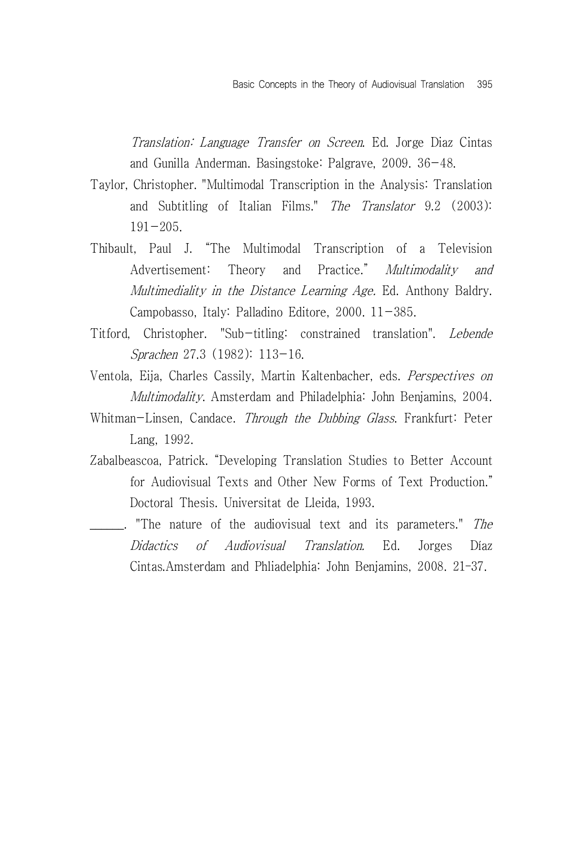Translation: Language Transfer on Screen. Ed. Jorge Diaz Cintas and Gunilla Anderman. Basingstoke: Palgrave, 2009. 36-48.

- Taylor, Christopher. "Multimodal Transcription in the Analysis: Translation and Subtitling of Italian Films." The Translator 9.2 (2003):  $191 - 205$ .
- Thibault, Paul J. "The Multimodal Transcription of a Television Advertisement: Theory and Practice." Multimodality and Multimediality in the Distance Learning Age. Ed. Anthony Baldry. Campobasso, Italy: Palladino Editore, 2000. 11-385.
- Titford, Christopher. "Sub-titling: constrained translation". Lebende Sprachen 27.3 (1982): 113-16.
- Ventola, Eija, Charles Cassily, Martin Kaltenbacher, eds. Perspectives on Multimodality. Amsterdam and Philadelphia: John Benjamins, 2004.
- Whitman-Linsen, Candace. *Through the Dubbing Glass*. Frankfurt: Peter Lang, 1992.
- Zabalbeascoa, Patrick. "Developing Translation Studies to Better Account for Audiovisual Texts and Other New Forms of Text Production." Doctoral Thesis. Universitat de Lleida, 1993.

 $\blacksquare$ . "The nature of the audiovisual text and its parameters." The Didactics of Audiovisual Translation. Ed. Jorges Díaz Cintas.Amsterdam and Phliadelphia: John Benjamins, 2008. 21–37.